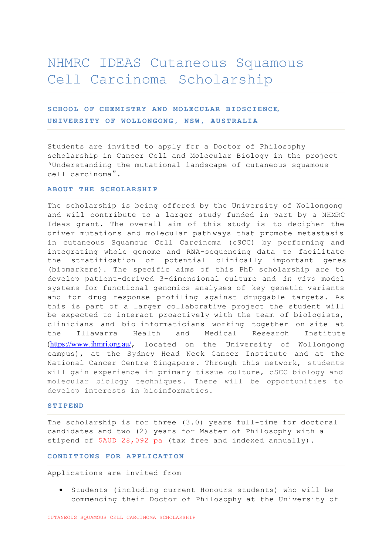# NHMRC IDEAS Cutaneous Squamous Cell Carcinoma Scholarship

## **SCHOOL OF CHEMISTRY AND MOLECULAR BIOSCIENCE, UNIVERSITY OF WOLLONGONG, NSW, AUSTRALIA**

Students are invited to apply for a Doctor of Philosophy scholarship in Cancer Cell and Molecular Biology in the project 'Understanding the mutational landscape of cutaneous squamous cell carcinoma".

#### **ABOUT THE SCHOLARSHIP**

The scholarship is being offered by the University of Wollongong and will contribute to a larger study funded in part by a NHMRC Ideas grant. The overall aim of this study is to decipher the driver mutations and molecular path ways that promote metastasis in cutaneous Squamous Cell Carcinoma (cSCC) by performing and integrating whole genome and RNA-sequencing data to facilitate the stratification of potential clinically important genes (biomarkers). The specific aims of this PhD scholarship are to develop patient-derived 3-dimensional culture and *in vivo* model systems for functional genomics analyses of key genetic variants and for drug response profiling against druggable targets. As this is part of a larger collaborative project the student will be expected to interact proactively with the team of biologists, clinicians and bio-informaticians working together on-site at the Illawarra Health and Medical Research Institute (https://www.ihmri.org.au/, located on the University of Wollongong campus), at the Sydney Head Neck Cancer Institute and at the National Cancer Centre Singapore. Through this network, students will gain experience in primary tissue culture, cSCC biology and molecular biology techniques. There will be opportunities to develop interests in bioinformatics.

#### **STIPEND**

The scholarship is for three (3.0) years full-time for doctoral candidates and two (2) years for Master of Philosophy with a stipend of \$AUD 28,092 pa (tax free and indexed annually).

#### **CONDITIONS FOR APPLICATION**

Applications are invited from

 Students (including current Honours students) who will be commencing their Doctor of Philosophy at the University of